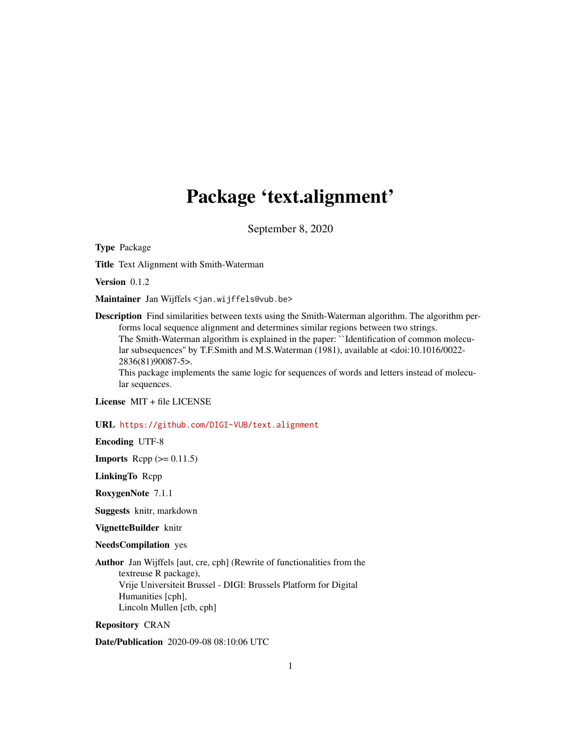# Package 'text.alignment'

September 8, 2020

<span id="page-0-0"></span>Type Package

Title Text Alignment with Smith-Waterman

Version 0.1.2

Maintainer Jan Wijffels <jan.wijffels@vub.be>

Description Find similarities between texts using the Smith-Waterman algorithm. The algorithm performs local sequence alignment and determines similar regions between two strings. The Smith-Waterman algorithm is explained in the paper: ``Identification of common molecular subsequences'' by T.F.Smith and M.S.Waterman (1981), available at <doi:10.1016/0022- 2836(81)90087-5>.

This package implements the same logic for sequences of words and letters instead of molecular sequences.

License MIT + file LICENSE

#### URL <https://github.com/DIGI-VUB/text.alignment>

Encoding UTF-8

**Imports** Rcpp  $(>= 0.11.5)$ 

LinkingTo Rcpp

RoxygenNote 7.1.1

Suggests knitr, markdown

VignetteBuilder knitr

NeedsCompilation yes

Author Jan Wijffels [aut, cre, cph] (Rewrite of functionalities from the textreuse R package), Vrije Universiteit Brussel - DIGI: Brussels Platform for Digital Humanities [cph], Lincoln Mullen [ctb, cph]

Repository CRAN

Date/Publication 2020-09-08 08:10:06 UTC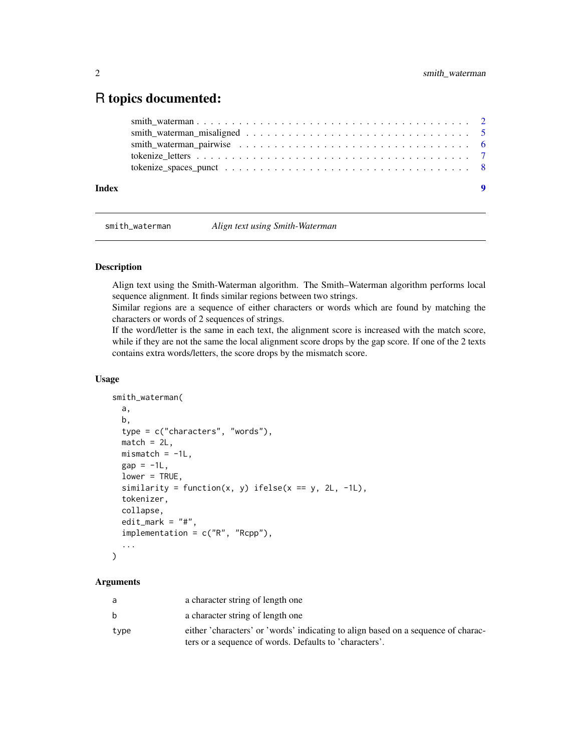## <span id="page-1-0"></span>R topics documented:

| Index | - 9 |
|-------|-----|
|       |     |
|       |     |
|       |     |
|       |     |
|       |     |

<span id="page-1-1"></span>smith\_waterman *Align text using Smith-Waterman*

#### Description

Align text using the Smith-Waterman algorithm. The Smith–Waterman algorithm performs local sequence alignment. It finds similar regions between two strings.

Similar regions are a sequence of either characters or words which are found by matching the characters or words of 2 sequences of strings.

If the word/letter is the same in each text, the alignment score is increased with the match score, while if they are not the same the local alignment score drops by the gap score. If one of the 2 texts contains extra words/letters, the score drops by the mismatch score.

#### Usage

```
smith_waterman(
  a,
 b,
  type = c("characters", "words"),
 match = 2L,
 mismatch = -1L,
  gap = -1L,
  lower = TRUE,similarity = function(x, y) ifelse(x == y, 2L, -1L),
  tokenizer,
  collapse,
  edit_mark = "#",
  implementation = c("R", "Rcpp"),...
```
# )

#### Arguments

| a    | a character string of length one                                                  |
|------|-----------------------------------------------------------------------------------|
| b    | a character string of length one                                                  |
| type | either 'characters' or 'words' indicating to align based on a sequence of charac- |
|      | ters or a sequence of words. Defaults to 'characters'.                            |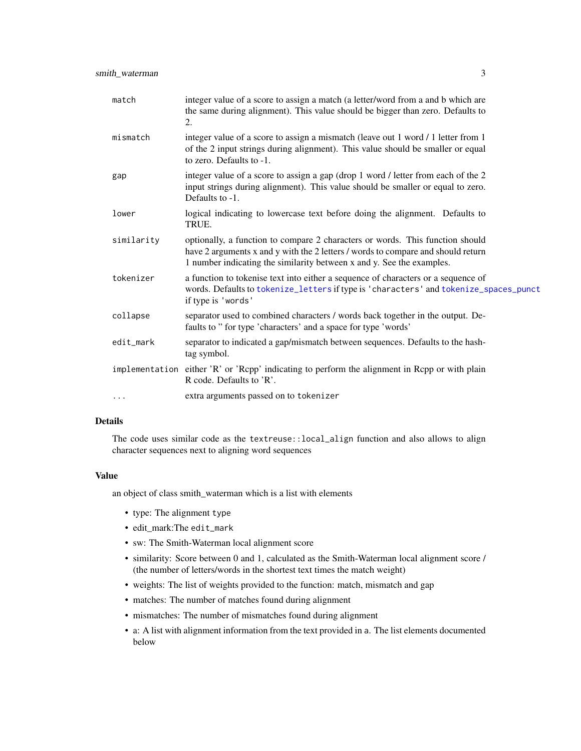<span id="page-2-0"></span>

| match      | integer value of a score to assign a match (a letter/word from a and b which are<br>the same during alignment). This value should be bigger than zero. Defaults to<br>2.                                                                   |
|------------|--------------------------------------------------------------------------------------------------------------------------------------------------------------------------------------------------------------------------------------------|
| mismatch   | integer value of a score to assign a mismatch (leave out 1 word / 1 letter from 1<br>of the 2 input strings during alignment). This value should be smaller or equal<br>to zero. Defaults to -1.                                           |
| gap        | integer value of a score to assign a gap (drop 1 word / letter from each of the 2<br>input strings during alignment). This value should be smaller or equal to zero.<br>Defaults to -1.                                                    |
| lower      | logical indicating to lowercase text before doing the alignment. Defaults to<br>TRUE.                                                                                                                                                      |
| similarity | optionally, a function to compare 2 characters or words. This function should<br>have 2 arguments x and y with the 2 letters / words to compare and should return<br>1 number indicating the similarity between x and y. See the examples. |
| tokenizer  | a function to tokenise text into either a sequence of characters or a sequence of<br>words. Defaults to tokenize_letters if type is 'characters' and tokenize_spaces_punct<br>if type is 'words'                                           |
| collapse   | separator used to combined characters / words back together in the output. De-<br>faults to " for type 'characters' and a space for type 'words'                                                                                           |
| edit_mark  | separator to indicated a gap/mismatch between sequences. Defaults to the hash-<br>tag symbol.                                                                                                                                              |
|            | implementation either 'R' or 'Rcpp' indicating to perform the alignment in Rcpp or with plain<br>R code. Defaults to 'R'.                                                                                                                  |
| $\cdots$   | extra arguments passed on to tokenizer                                                                                                                                                                                                     |

#### Details

The code uses similar code as the textreuse::local\_align function and also allows to align character sequences next to aligning word sequences

#### Value

an object of class smith\_waterman which is a list with elements

- type: The alignment type
- edit\_mark:The edit\_mark
- sw: The Smith-Waterman local alignment score
- similarity: Score between 0 and 1, calculated as the Smith-Waterman local alignment score / (the number of letters/words in the shortest text times the match weight)
- weights: The list of weights provided to the function: match, mismatch and gap
- matches: The number of matches found during alignment
- mismatches: The number of mismatches found during alignment
- a: A list with alignment information from the text provided in a. The list elements documented below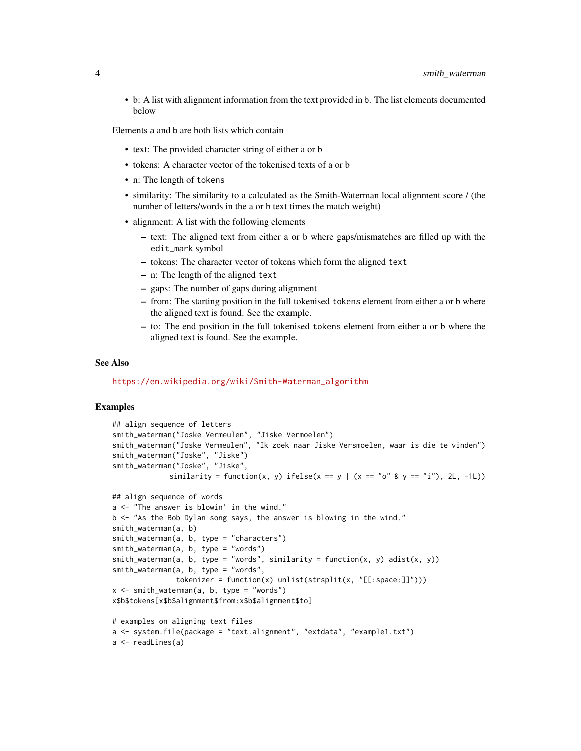• b: A list with alignment information from the text provided in b. The list elements documented below

Elements a and b are both lists which contain

- text: The provided character string of either a or b
- tokens: A character vector of the tokenised texts of a or b
- n: The length of tokens
- similarity: The similarity to a calculated as the Smith-Waterman local alignment score / (the number of letters/words in the a or b text times the match weight)
- alignment: A list with the following elements
	- text: The aligned text from either a or b where gaps/mismatches are filled up with the edit\_mark symbol
	- tokens: The character vector of tokens which form the aligned text
	- n: The length of the aligned text
	- gaps: The number of gaps during alignment
	- from: The starting position in the full tokenised tokens element from either a or b where the aligned text is found. See the example.
	- to: The end position in the full tokenised tokens element from either a or b where the aligned text is found. See the example.

#### See Also

[https://en.wikipedia.org/wiki/Smith-Waterman\\_algorithm](https://en.wikipedia.org/wiki/Smith-Waterman_algorithm)

### Examples

```
## align sequence of letters
smith_waterman("Joske Vermeulen", "Jiske Vermoelen")
smith_waterman("Joske Vermeulen", "Ik zoek naar Jiske Versmoelen, waar is die te vinden")
smith_waterman("Joske", "Jiske")
smith_waterman("Joske", "Jiske",
             similarity = function(x, y) ifelse(x == y | (x == "o" & y == "i"), 2L, -1L))
## align sequence of words
a <- "The answer is blowin' in the wind."
b <- "As the Bob Dylan song says, the answer is blowing in the wind."
smith_waterman(a, b)
smith_waterman(a, b, type = "characters")
smith_waterman(a, b, type = "words")
smith_waterman(a, b, type = "words", similarity = function(x, y) adist(x, y))
smith_waterman(a, b, type = "words"
               tokenizer = function(x) unlist(strsplit(x, "[[:space:]]")))
x \le - \sinith\_waterman(a, b, type = "words")x$b$tokens[x$b$alignment$from:x$b$alignment$to]
# examples on aligning text files
a <- system.file(package = "text.alignment", "extdata", "example1.txt")
a <- readLines(a)
```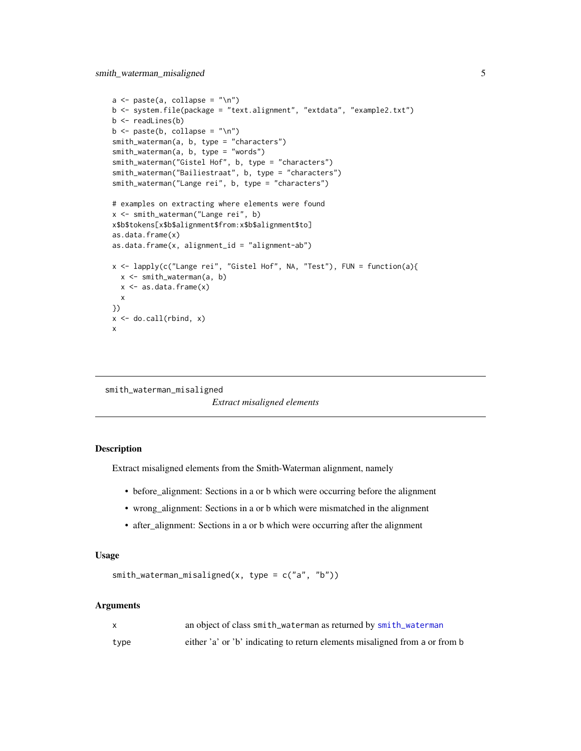```
a \leftarrow paste(a, collapse = "\n")
b <- system.file(package = "text.alignment", "extdata", "example2.txt")
b <- readLines(b)
b \leftarrow paste(b, collapse = "\n")
smith_waterman(a, b, type = "characters")
smith_waterman(a, b, type = "words")
smith_waterman("Gistel Hof", b, type = "characters")
smith_waterman("Bailiestraat", b, type = "characters")
smith_waterman("Lange rei", b, type = "characters")
# examples on extracting where elements were found
x <- smith_waterman("Lange rei", b)
x$b$tokens[x$b$alignment$from:x$b$alignment$to]
as.data.frame(x)
as.data.frame(x, alignment_id = "alignment-ab")
x <- lapply(c("Lange rei", "Gistel Hof", NA, "Test"), FUN = function(a){
  x <- smith_waterman(a, b)
  x <- as.data.frame(x)
  x
})
x \leftarrow do-call(rbind, x)x
```
smith\_waterman\_misaligned

*Extract misaligned elements*

#### **Description**

Extract misaligned elements from the Smith-Waterman alignment, namely

- before\_alignment: Sections in a or b which were occurring before the alignment
- wrong\_alignment: Sections in a or b which were mismatched in the alignment
- after\_alignment: Sections in a or b which were occurring after the alignment

#### Usage

```
smith_waterman_misaligned(x, type = c("a", "b"))
```
#### Arguments

|      | an object of class smith_waterman as returned by smith_waterman             |
|------|-----------------------------------------------------------------------------|
| type | either 'a' or 'b' indicating to return elements misaligned from a or from b |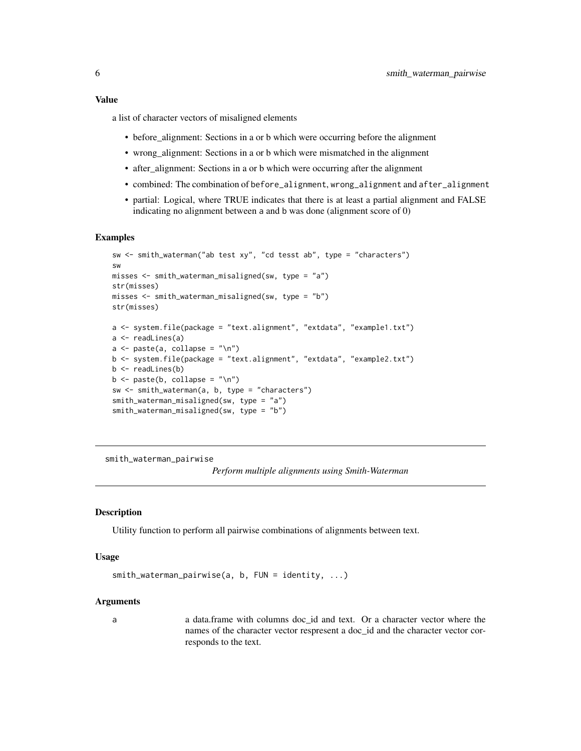#### <span id="page-5-0"></span>Value

a list of character vectors of misaligned elements

- before\_alignment: Sections in a or b which were occurring before the alignment
- wrong\_alignment: Sections in a or b which were mismatched in the alignment
- after\_alignment: Sections in a or b which were occurring after the alignment
- combined: The combination of before\_alignment, wrong\_alignment and after\_alignment
- partial: Logical, where TRUE indicates that there is at least a partial alignment and FALSE indicating no alignment between a and b was done (alignment score of 0)

#### Examples

```
sw <- smith_waterman("ab test xy", "cd tesst ab", type = "characters")
sw
misses <- smith_waterman_misaligned(sw, type = "a")
str(misses)
misses <- smith_waterman_misaligned(sw, type = "b")
str(misses)
a <- system.file(package = "text.alignment", "extdata", "example1.txt")
a <- readLines(a)
a \leftarrow paste(a, collapse = "\n")
b <- system.file(package = "text.alignment", "extdata", "example2.txt")
b \leftarrow readLines(b)
b \leq paste(b, collapse = "\n")
sw <- smith_waterman(a, b, type = "characters")
smith_waterman_misaligned(sw, type = "a")
smith_waterman_misaligned(sw, type = "b")
```
smith\_waterman\_pairwise

*Perform multiple alignments using Smith-Waterman*

#### Description

Utility function to perform all pairwise combinations of alignments between text.

#### Usage

```
smith_waterman_pairwise(a, b, FUN = identity, ...)
```
#### Arguments

a a data.frame with columns doc\_id and text. Or a character vector where the names of the character vector respresent a doc\_id and the character vector corresponds to the text.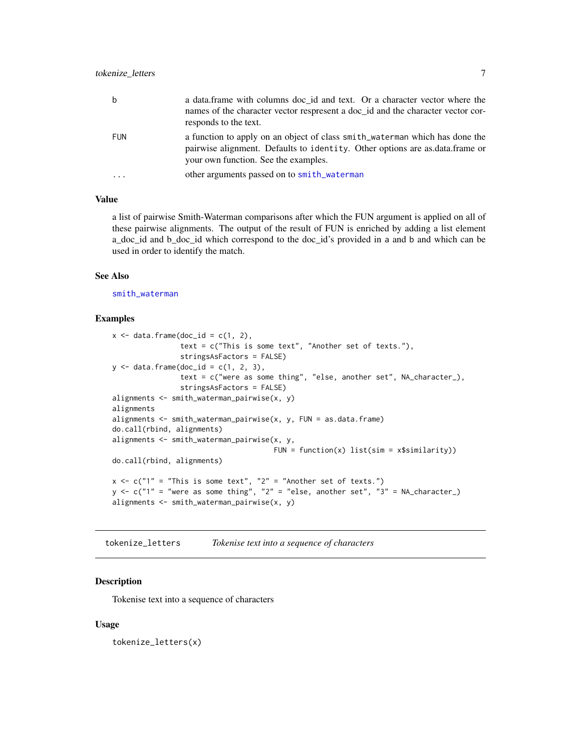<span id="page-6-0"></span>

| b          | a data frame with columns doc_id and text. Or a character vector where the<br>names of the character vector respresent a doc_id and the character vector cor-<br>responds to the text.              |
|------------|-----------------------------------------------------------------------------------------------------------------------------------------------------------------------------------------------------|
| <b>FUN</b> | a function to apply on an object of class smith waterman which has done the<br>pairwise alignment. Defaults to identity. Other options are as data frame or<br>your own function. See the examples. |
|            | other arguments passed on to smith_waterman                                                                                                                                                         |

#### Value

a list of pairwise Smith-Waterman comparisons after which the FUN argument is applied on all of these pairwise alignments. The output of the result of FUN is enriched by adding a list element a\_doc\_id and b\_doc\_id which correspond to the doc\_id's provided in a and b and which can be used in order to identify the match.

#### See Also

[smith\\_waterman](#page-1-1)

#### Examples

```
x \le - data.frame(doc_id = c(1, 2),
                text = c("This is some text", "Another set of texts."),
                stringsAsFactors = FALSE)
y \le - data.frame(doc_id = c(1, 2, 3),
                text = c("were as some thing", "else, another set", NA_character_),
                stringsAsFactors = FALSE)
alignments <- smith_waterman_pairwise(x, y)
alignments
alignments \leq smith_waterman_pairwise(x, y, FUN = as.data.frame)
do.call(rbind, alignments)
alignments <- smith_waterman_pairwise(x, y,
                                       FUN = function(x) list(sim = x$similarity))
do.call(rbind, alignments)
x \leftarrow c("1" = "This is some text", "2" = "Another set of texts.")y \leq c ("1" = "were as some thing", "2" = "else, another set", "3" = NA_character_)
alignments <- smith_waterman_pairwise(x, y)
```
<span id="page-6-1"></span>tokenize\_letters *Tokenise text into a sequence of characters*

#### Description

Tokenise text into a sequence of characters

#### Usage

tokenize\_letters(x)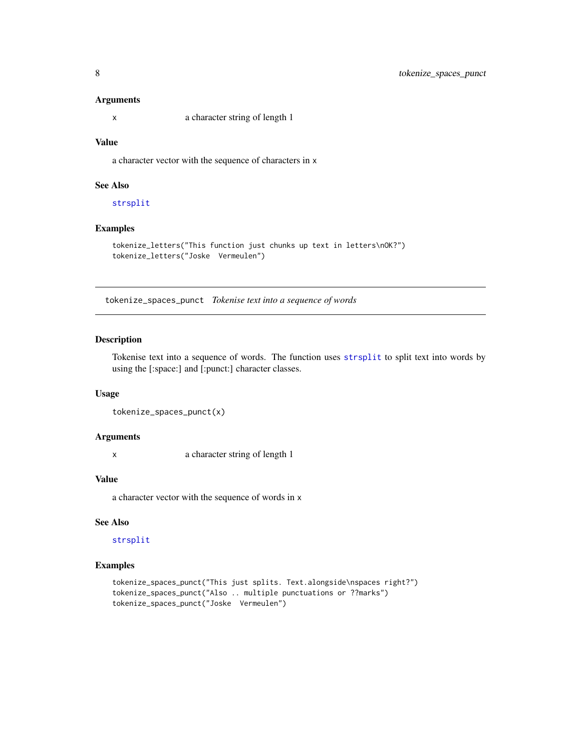#### Arguments

x a character string of length 1

#### Value

a character vector with the sequence of characters in x

#### See Also

[strsplit](#page-0-0)

#### Examples

```
tokenize_letters("This function just chunks up text in letters\nOK?")
tokenize_letters("Joske Vermeulen")
```
<span id="page-7-1"></span>tokenize\_spaces\_punct *Tokenise text into a sequence of words*

#### Description

Tokenise text into a sequence of words. The function uses [strsplit](#page-0-0) to split text into words by using the [:space:] and [:punct:] character classes.

#### Usage

```
tokenize_spaces_punct(x)
```
#### Arguments

x a character string of length 1

#### Value

a character vector with the sequence of words in x

#### See Also

[strsplit](#page-0-0)

#### Examples

```
tokenize_spaces_punct("This just splits. Text.alongside\nspaces right?")
tokenize_spaces_punct("Also .. multiple punctuations or ??marks")
tokenize_spaces_punct("Joske Vermeulen")
```
<span id="page-7-0"></span>